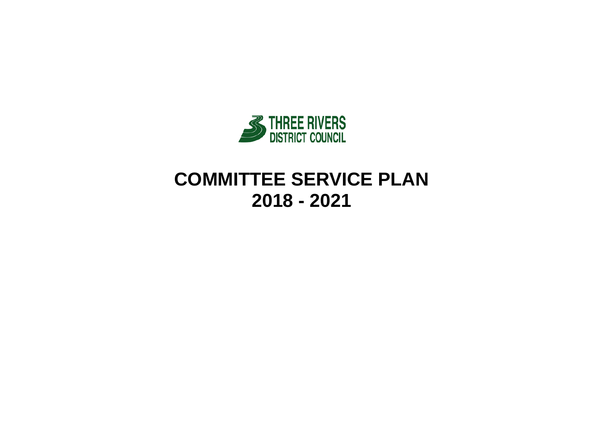

# **COMMITTEE SERVICE PLAN 2018 - 2021**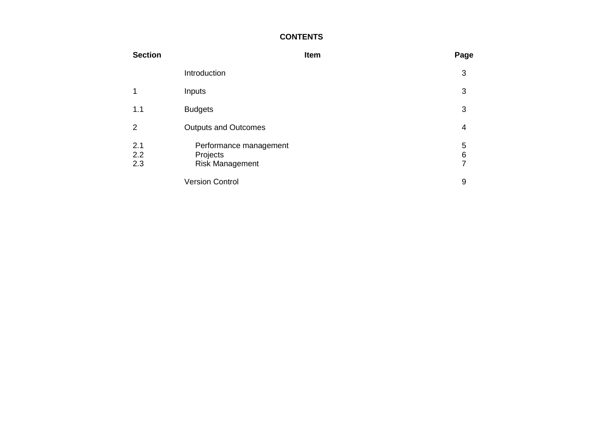### **CONTENTS**

| <b>Section</b>    |                                                              | Item | Page                     |
|-------------------|--------------------------------------------------------------|------|--------------------------|
|                   | Introduction                                                 |      | 3                        |
|                   | Inputs                                                       |      | 3                        |
| 1.1               | <b>Budgets</b>                                               |      | 3                        |
| 2                 | <b>Outputs and Outcomes</b>                                  |      | 4                        |
| 2.1<br>2.2<br>2.3 | Performance management<br>Projects<br><b>Risk Management</b> |      | 5<br>6<br>$\overline{7}$ |
|                   | <b>Version Control</b>                                       |      | 9                        |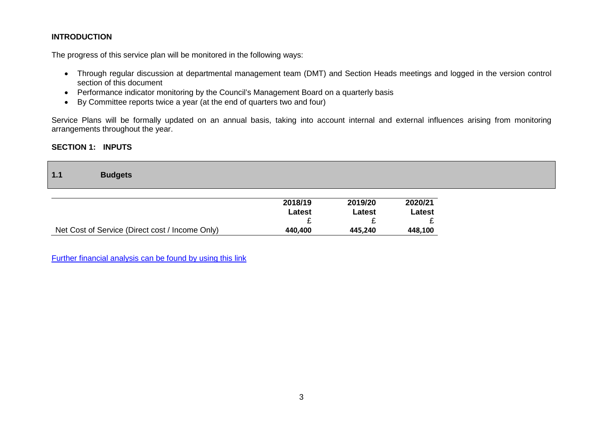### **INTRODUCTION**

The progress of this service plan will be monitored in the following ways:

- Through regular discussion at departmental management team (DMT) and Section Heads meetings and logged in the version control section of this document
- Performance indicator monitoring by the Council's Management Board on a quarterly basis
- By Committee reports twice a year (at the end of quarters two and four)

Service Plans will be formally updated on an annual basis, taking into account internal and external influences arising from monitoring arrangements throughout the year.

### **SECTION 1: INPUTS**

| $1.1$ | <b>Budgets</b> |  |  |  |  |  |
|-------|----------------|--|--|--|--|--|
|-------|----------------|--|--|--|--|--|

|                                                 | 2018/19 | 2019/20 | 2020/21 |
|-------------------------------------------------|---------|---------|---------|
|                                                 | Latest  | Latest  | Latest  |
|                                                 |         |         |         |
| Net Cost of Service (Direct cost / Income Only) | 440.400 | 445.240 | 448,100 |

[Further financial analysis can be found by using this link](http://www.threerivers.gov.uk/egcl-page/budgets-2018-21)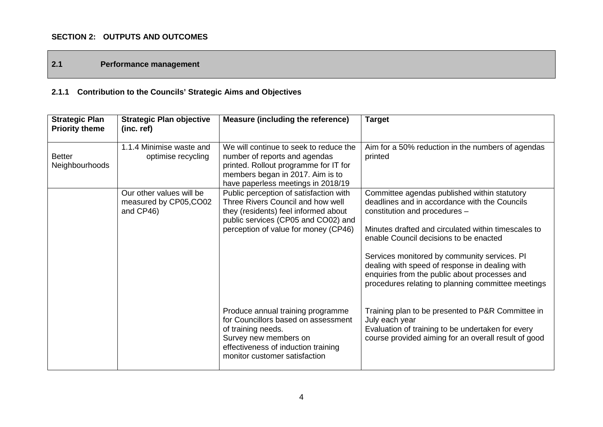### **SECTION 2: OUTPUTS AND OUTCOMES**

### **2.1 Performance management**

# **2.1.1 Contribution to the Councils' Strategic Aims and Objectives**

| <b>Strategic Plan</b><br><b>Priority theme</b> | <b>Strategic Plan objective</b><br>(inc. ref)                   | <b>Measure (including the reference)</b>                                                                                                                                                           | <b>Target</b>                                                                                                                                                                                                                                                                                                                                                                                                                            |
|------------------------------------------------|-----------------------------------------------------------------|----------------------------------------------------------------------------------------------------------------------------------------------------------------------------------------------------|------------------------------------------------------------------------------------------------------------------------------------------------------------------------------------------------------------------------------------------------------------------------------------------------------------------------------------------------------------------------------------------------------------------------------------------|
| <b>Better</b><br>Neighbourhoods                | 1.1.4 Minimise waste and<br>optimise recycling                  | We will continue to seek to reduce the<br>number of reports and agendas<br>printed. Rollout programme for IT for<br>members began in 2017. Aim is to<br>have paperless meetings in 2018/19         | Aim for a 50% reduction in the numbers of agendas<br>printed                                                                                                                                                                                                                                                                                                                                                                             |
|                                                | Our other values will be<br>measured by CP05, CO02<br>and CP46) | Public perception of satisfaction with<br>Three Rivers Council and how well<br>they (residents) feel informed about<br>public services (CP05 and CO02) and<br>perception of value for money (CP46) | Committee agendas published within statutory<br>deadlines and in accordance with the Councils<br>constitution and procedures -<br>Minutes drafted and circulated within timescales to<br>enable Council decisions to be enacted<br>Services monitored by community services. PI<br>dealing with speed of response in dealing with<br>enquiries from the public about processes and<br>procedures relating to planning committee meetings |
|                                                |                                                                 | Produce annual training programme<br>for Councillors based on assessment<br>of training needs.<br>Survey new members on<br>effectiveness of induction training<br>monitor customer satisfaction    | Training plan to be presented to P&R Committee in<br>July each year<br>Evaluation of training to be undertaken for every<br>course provided aiming for an overall result of good                                                                                                                                                                                                                                                         |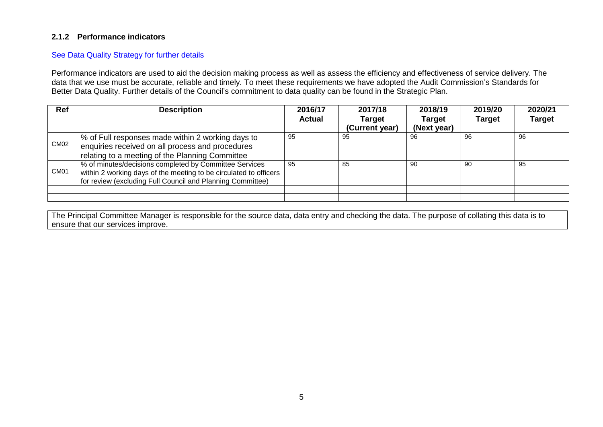### **2.1.2 Performance indicators**

#### [See Data Quality Strategy for further details](http://intranet.threerivers.gov.uk/Default.aspx/Web/FinancialandPerformanceManagement)

Performance indicators are used to aid the decision making process as well as assess the efficiency and effectiveness of service delivery. The data that we use must be accurate, reliable and timely. To meet these requirements we have adopted the Audit Commission's Standards for Better Data Quality. Further details of the Council's commitment to data quality can be found in the Strategic Plan.

| Ref              | <b>Description</b>                                                                                                                                                                        | 2016/17<br><b>Actual</b> | 2017/18<br><b>Target</b> | 2018/19<br><b>Target</b> | 2019/20<br><b>Target</b> | 2020/21<br><b>Target</b> |
|------------------|-------------------------------------------------------------------------------------------------------------------------------------------------------------------------------------------|--------------------------|--------------------------|--------------------------|--------------------------|--------------------------|
|                  |                                                                                                                                                                                           |                          | (Current year)           | (Next year)              |                          |                          |
| CM <sub>02</sub> | % of Full responses made within 2 working days to<br>enquiries received on all process and procedures<br>relating to a meeting of the Planning Committee                                  | 95                       | 95                       | 96                       | 96                       | 96                       |
| CM <sub>01</sub> | % of minutes/decisions completed by Committee Services<br>within 2 working days of the meeting to be circulated to officers<br>for review (excluding Full Council and Planning Committee) | 95                       | 85                       | 90                       | 90                       | 95                       |
|                  |                                                                                                                                                                                           |                          |                          |                          |                          |                          |
|                  |                                                                                                                                                                                           |                          |                          |                          |                          |                          |

The Principal Committee Manager is responsible for the source data, data entry and checking the data. The purpose of collating this data is to ensure that our services improve.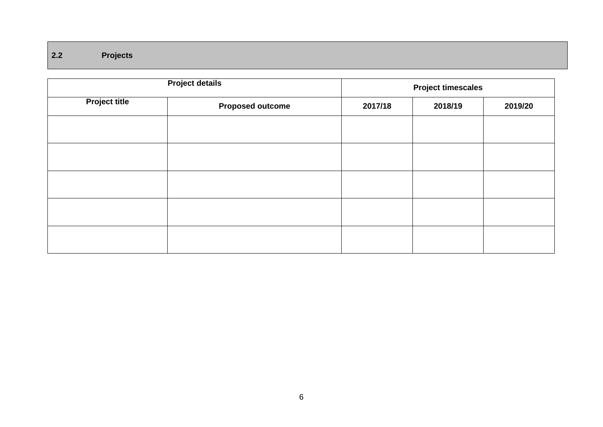## **2.2 Projects**

|                      | <b>Project timescales</b> |         |         |         |
|----------------------|---------------------------|---------|---------|---------|
| <b>Project title</b> | <b>Proposed outcome</b>   | 2017/18 | 2018/19 | 2019/20 |
|                      |                           |         |         |         |
|                      |                           |         |         |         |
|                      |                           |         |         |         |
|                      |                           |         |         |         |
|                      |                           |         |         |         |
|                      |                           |         |         |         |
|                      |                           |         |         |         |
|                      |                           |         |         |         |
|                      |                           |         |         |         |
|                      |                           |         |         |         |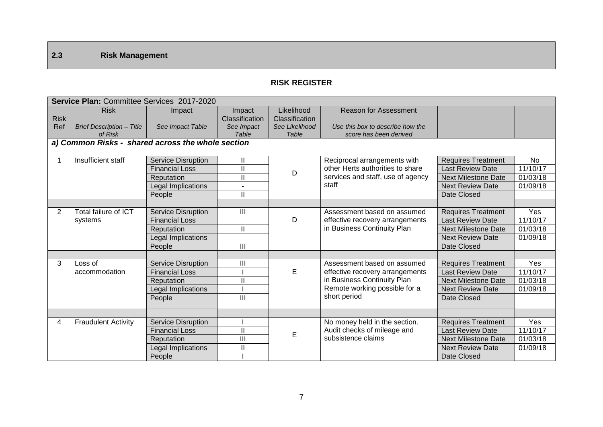## **2.3 Risk Management**

### **RISK REGISTER**

|                | Service Plan: Committee Services 2017-2020        |                           |                |                |                                   |                            |           |  |  |
|----------------|---------------------------------------------------|---------------------------|----------------|----------------|-----------------------------------|----------------------------|-----------|--|--|
|                | <b>Risk</b>                                       | Impact                    | Impact         | Likelihood     | <b>Reason for Assessment</b>      |                            |           |  |  |
| <b>Risk</b>    |                                                   |                           | Classification | Classification |                                   |                            |           |  |  |
| Ref            | <b>Brief Description - Title</b>                  | See Impact Table          | See Impact     | See Likelihood | Use this box to describe how the  |                            |           |  |  |
|                | of Risk                                           |                           | Table          | Table          | score has been derived            |                            |           |  |  |
|                | a) Common Risks - shared across the whole section |                           |                |                |                                   |                            |           |  |  |
|                | Insufficient staff                                | Service Disruption        | Ш.             |                | Reciprocal arrangements with      | <b>Requires Treatment</b>  | <b>No</b> |  |  |
|                |                                                   | <b>Financial Loss</b>     | Ш              |                | other Herts authorities to share  | <b>Last Review Date</b>    | 11/10/17  |  |  |
|                |                                                   | Reputation                | Ш              | D              | services and staff, use of agency | <b>Next Milestone Date</b> | 01/03/18  |  |  |
|                |                                                   | Legal Implications        | $\sim$         |                | staff                             | <b>Next Review Date</b>    | 01/09/18  |  |  |
|                |                                                   | People                    | Ш              |                |                                   | Date Closed                |           |  |  |
|                |                                                   |                           |                |                |                                   |                            |           |  |  |
| $\overline{2}$ | Total failure of ICT                              | Service Disruption        | III            |                | Assessment based on assumed       | <b>Requires Treatment</b>  | Yes       |  |  |
|                | systems                                           | <b>Financial Loss</b>     |                | D              | effective recovery arrangements   | <b>Last Review Date</b>    | 11/10/17  |  |  |
|                |                                                   | Reputation                | II.            |                | in Business Continuity Plan       | <b>Next Milestone Date</b> | 01/03/18  |  |  |
|                |                                                   | <b>Legal Implications</b> |                |                |                                   | <b>Next Review Date</b>    | 01/09/18  |  |  |
|                |                                                   | People                    | III            |                |                                   | Date Closed                |           |  |  |
|                |                                                   |                           |                |                |                                   |                            |           |  |  |
| 3              | Loss of                                           | <b>Service Disruption</b> | Ш              |                | Assessment based on assumed       | <b>Requires Treatment</b>  | Yes       |  |  |
|                | accommodation                                     | <b>Financial Loss</b>     |                | E              | effective recovery arrangements   | <b>Last Review Date</b>    | 11/10/17  |  |  |
|                |                                                   | Reputation                | Ш              |                | in Business Continuity Plan       | <b>Next Milestone Date</b> | 01/03/18  |  |  |
|                |                                                   | Legal Implications        |                |                | Remote working possible for a     | <b>Next Review Date</b>    | 01/09/18  |  |  |
|                |                                                   | People                    | III            |                | short period                      | Date Closed                |           |  |  |
|                |                                                   |                           |                |                |                                   |                            |           |  |  |
|                |                                                   |                           |                |                |                                   |                            |           |  |  |
| 4              | <b>Fraudulent Activity</b>                        | Service Disruption        |                |                | No money held in the section.     | <b>Requires Treatment</b>  | Yes       |  |  |
|                |                                                   | <b>Financial Loss</b>     | $\mathbf{I}$   | $\mathsf E$    | Audit checks of mileage and       | <b>Last Review Date</b>    | 11/10/17  |  |  |
|                |                                                   | Reputation                | $\mathbf{III}$ |                | subsistence claims                | <b>Next Milestone Date</b> | 01/03/18  |  |  |
|                |                                                   | Legal Implications        | $\mathbf{I}$   |                |                                   | <b>Next Review Date</b>    | 01/09/18  |  |  |
|                |                                                   | People                    |                |                |                                   | Date Closed                |           |  |  |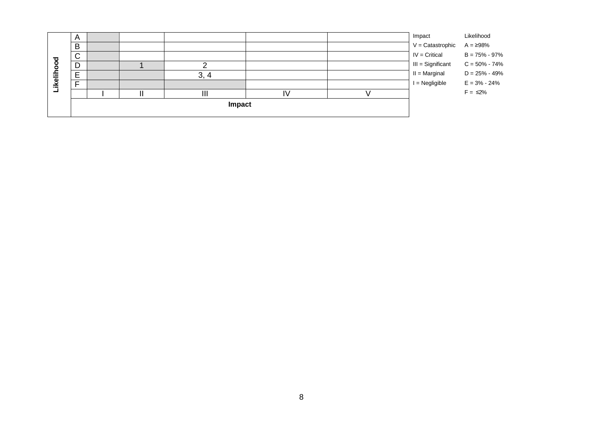|         |             |  | Impact   |  |                    |                   |
|---------|-------------|--|----------|--|--------------------|-------------------|
|         |             |  |          |  |                    | $F = \leq 2\%$    |
| Likelih | -           |  |          |  | $I = Negligible$   | $E = 3\% - 24\%$  |
|         | F<br>ட      |  | ົ<br>. 4 |  | $II = Marginal$    | $D = 25\% - 49\%$ |
| g<br>o  | D           |  |          |  | III = Significant  | $C = 50\% - 74\%$ |
|         | $\sim$<br>ັ |  |          |  | $IV = Critical$    | $B = 75\% - 97\%$ |
|         | B           |  |          |  | $V =$ Catastrophic | $A = 298%$        |
|         | A           |  |          |  | Impact             | Likelihood        |